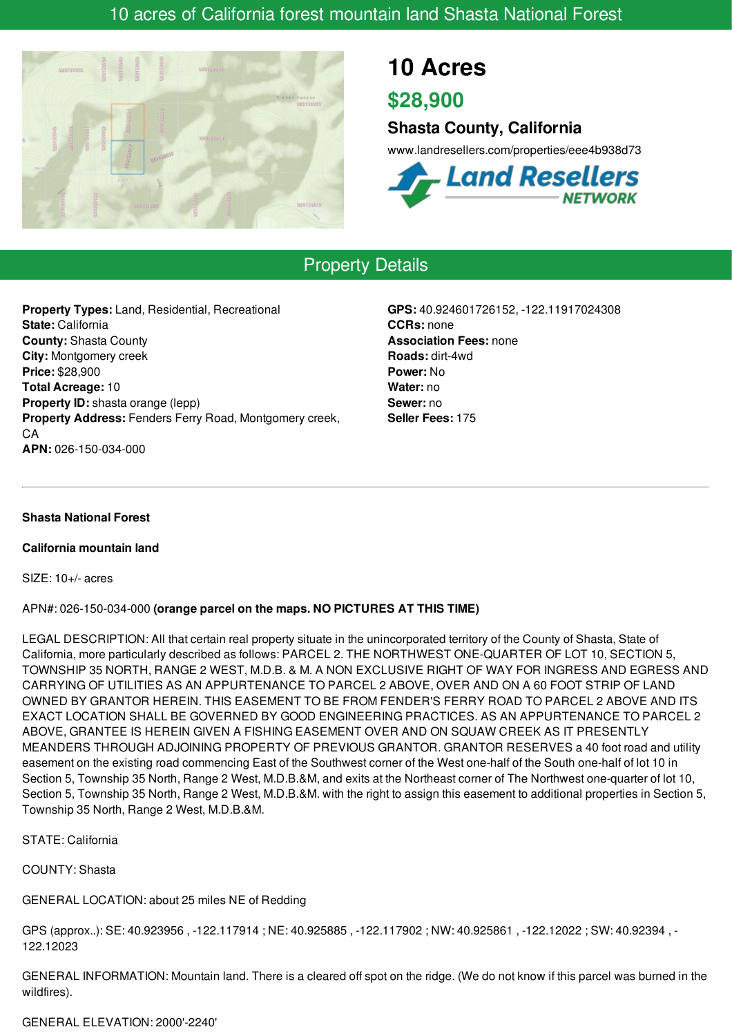# 10 acres of California forest mountain land Shasta National Forest



# **10 Acres**

**\$28,900**

## **Shasta County, California**

www.landresellers.com/properties/eee4b938d73



# Property Details

**Property Types:** Land, Residential, Recreational **State:** California **County:** Shasta County **City:** Montgomery creek **Price:** \$28,900 **Total Acreage:** 10 **Property ID:** shasta orange (lepp) **Property Address:** Fenders Ferry Road, Montgomery creek, CA **APN:** 026-150-034-000

**GPS:** 40.924601726152, -122.11917024308 **CCRs:** none **Association Fees:** none **Roads:** dirt-4wd **Power:** No **Water:** no **Sewer:** no **Seller Fees:** 175

### **Shasta National Forest**

#### **California mountain land**

SIZE: 10+/- acres

### APN#: 026-150-034-000 **(orange parcel on the maps. NO PICTURES AT THIS TIME)**

LEGAL DESCRIPTION: All that certain real property situate in the unincorporated territory of the County of Shasta, State of California, more particularly described as follows: PARCEL 2. THE NORTHWEST ONE-QUARTER OF LOT 10, SECTION 5, TOWNSHIP 35 NORTH, RANGE 2 WEST, M.D.B. & M. A NON EXCLUSIVE RIGHT OF WAY FOR INGRESS AND EGRESS AND CARRYING OF UTILITIES AS AN APPURTENANCE TO PARCEL 2 ABOVE, OVER AND ON A 60 FOOT STRIP OF LAND OWNED BY GRANTOR HEREIN. THIS EASEMENT TO BE FROM FENDER'S FERRY ROAD TO PARCEL 2 ABOVE AND ITS EXACT LOCATION SHALL BE GOVERNED BY GOOD ENGINEERING PRACTICES. AS AN APPURTENANCE TO PARCEL 2 ABOVE, GRANTEE IS HEREIN GIVEN A FISHING EASEMENT OVER AND ON SQUAW CREEK AS IT PRESENTLY MEANDERS THROUGH ADJOINING PROPERTY OF PREVIOUS GRANTOR. GRANTOR RESERVES a 40 foot road and utility easement on the existing road commencing East of the Southwest corner of the West one-half of the South one-half of lot 10 in Section 5, Township 35 North, Range 2 West, M.D.B.&M, and exits at the Northeast corner of The Northwest one-quarter of lot 10, Section 5, Township 35 North, Range 2 West, M.D.B.&M, with the right to assign this easement to additional properties in Section 5, Township 35 North, Range 2 West, M.D.B.&M.

### STATE: California

COUNTY: Shasta

### GENERAL LOCATION: about 25 miles NE of Redding

GPS (approx..): SE: 40.923956 , -122.117914 ; NE: 40.925885 , -122.117902 ; NW: 40.925861 , -122.12022 ; SW: 40.92394 , - 122.12023

GENERAL INFORMATION: Mountain land. There is a cleared off spot on the ridge. (We do not know if this parcel was burned in the wildfires).